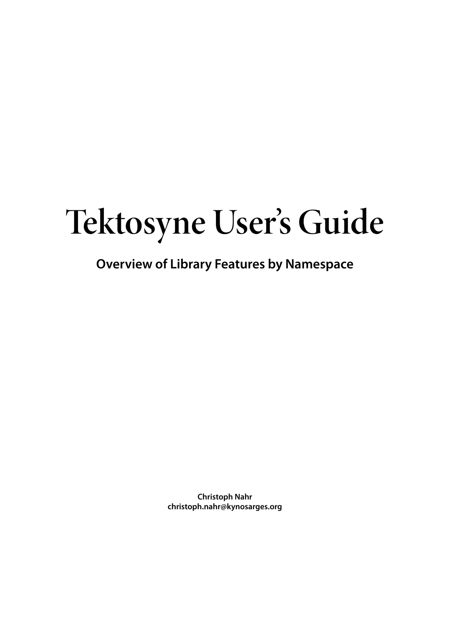# **Tektosyne User's Guide**

# **Overview of Library Features by Namespace**

**Christoph Nahr christoph.nahr@kynosarges.org**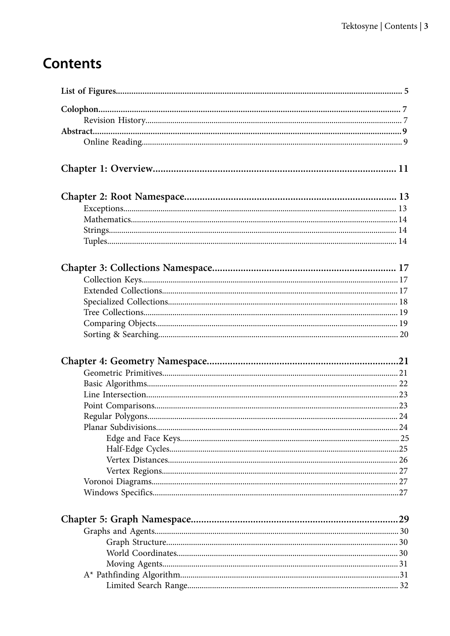# **Contents**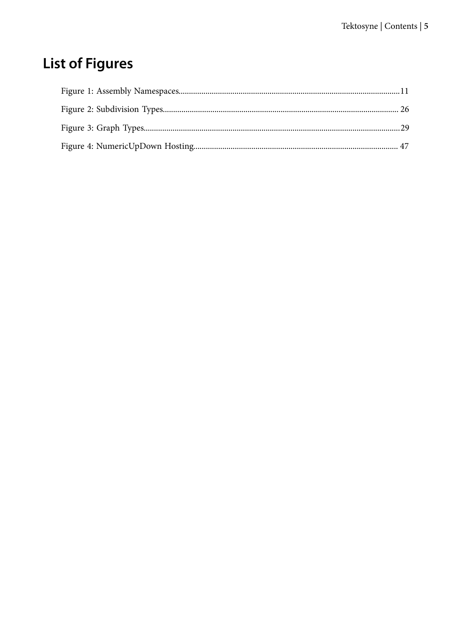# <span id="page-4-0"></span>**List of Figures**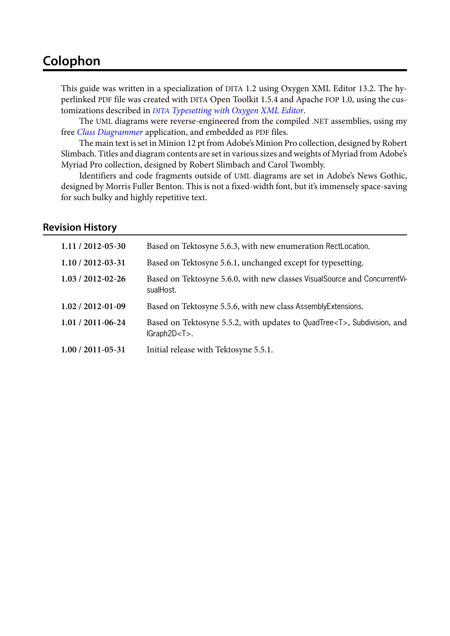## <span id="page-6-0"></span>**Colophon**

This guide was written in a specialization of DITA 1.2 using Oxygen XML Editor 13.2. The hyperlinked PDF file was created with DITA Open Toolkit 1.5.4 and Apache FOP 1.0, using the customizations described in *DITA [Typesetting with Oxygen XML Editor](http://www.kynosarges.org/Oxygen.html)*.

The UML diagrams were reverse-engineered from the compiled .NET assemblies, using my free *[Class Diagrammer](http://www.kynosarges.org/Diagrammer.html)* application, and embedded as PDF files.

The main text is set in Minion 12 pt from Adobe's Minion Pro collection, designed by Robert Slimbach. Titles and diagram contents are set in various sizes and weights of Myriad from Adobe's Myriad Pro collection, designed by Robert Slimbach and Carol Twombly.

Identifiers and code fragments outside of UML diagrams are set in Adobe's News Gothic, designed by Morris Fuller Benton. This is not a fixed-width font, but it's immensely space-saving for such bulky and highly repetitive text.

#### <span id="page-6-1"></span>**Revision History**

| $1.11 / 2012 - 05 - 30$ | Based on Tektosyne 5.6.3, with new enumeration RectLocation.                                      |
|-------------------------|---------------------------------------------------------------------------------------------------|
| $1.10 / 2012 - 03 - 31$ | Based on Tektosyne 5.6.1, unchanged except for typesetting.                                       |
| $1.03 / 2012 - 02 - 26$ | Based on Tektosyne 5.6.0, with new classes VisualSource and ConcurrentVi-<br>sualHost.            |
| $1.02 / 2012 - 01 - 09$ | Based on Tektosyne 5.5.6, with new class Assembly Extensions.                                     |
| $1.01 / 2011 - 06 - 24$ | Based on Tektosyne 5.5.2, with updates to QuadTree <t>, Subdivision, and<br/>IGraph2D<t>.</t></t> |
| $1.00 / 2011 - 05 - 31$ | Initial release with Tektosyne 5.5.1.                                                             |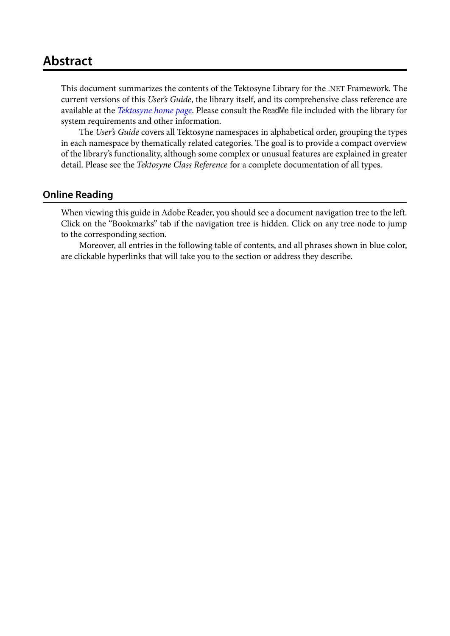## <span id="page-8-0"></span>**Abstract**

This document summarizes the contents of the Tektosyne Library for the .NET Framework. The current versions of this *User's Guide*, the library itself, and its comprehensive class reference are available at the *[Tektosyne home page](http://www.kynosarges.org/Tektosyne.html)*. Please consult the ReadMe file included with the library for system requirements and other information.

The *User's Guide* covers all Tektosyne namespaces in alphabetical order, grouping the types in each namespace by thematically related categories. The goal is to provide a compact overview of the library's functionality, although some complex or unusual features are explained in greater detail. Please see the *Tektosyne Class Reference* for a complete documentation of all types.

#### <span id="page-8-1"></span>**Online Reading**

When viewing this guide in Adobe Reader, you should see a document navigation tree to the left. Click on the "Bookmarks" tab if the navigation tree is hidden. Click on any tree node to jump to the corresponding section.

Moreover, all entries in the following table of contents, and all phrases shown in blue color, are clickable hyperlinks that will take you to the section or address they describe.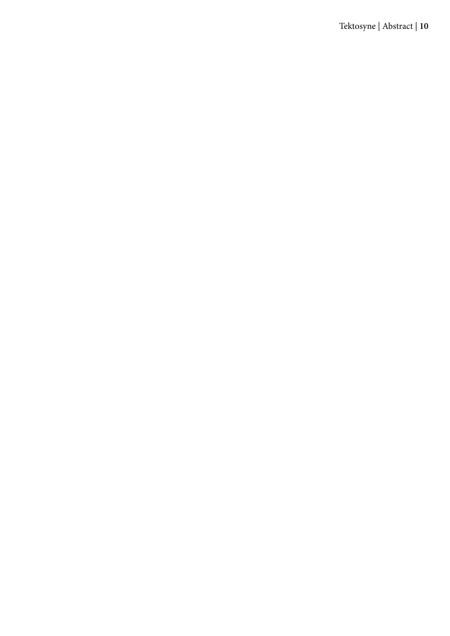Tektosyne | Abstract | **10**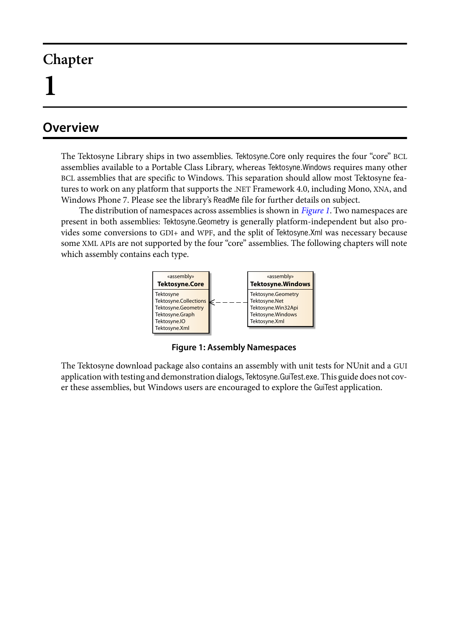# <span id="page-10-0"></span>**Overview**

The Tektosyne Library ships in two assemblies. Tektosyne.Core only requires the four "core" BCL assemblies available to a Portable Class Library, whereas Tektosyne.Windows requires many other BCL assemblies that are specific to Windows. This separation should allow most Tektosyne features to work on any platform that supports the .NET Framework 4.0, including Mono, XNA, and Windows Phone 7. Please see the library's ReadMe file for further details on subject.

<span id="page-10-1"></span>The distribution of namespaces across assemblies is shown in *[Figure 1](#page-10-1)*. Two namespaces are present in both assemblies: Tektosyne.Geometry is generally platform-independent but also provides some conversions to GDI+ and WPF, and the split of Tektosyne.Xml was necessary because some XML APIs are not supported by the four "core" assemblies. The following chapters will note which assembly contains each type.



**Figure 1: Assembly Namespaces**

The Tektosyne download package also contains an assembly with unit tests for NUnit and a GUI application with testing and demonstration dialogs, Tektosyne.GuiTest.exe. This guide does not cover these assemblies, but Windows users are encouraged to explore the GuiTest application.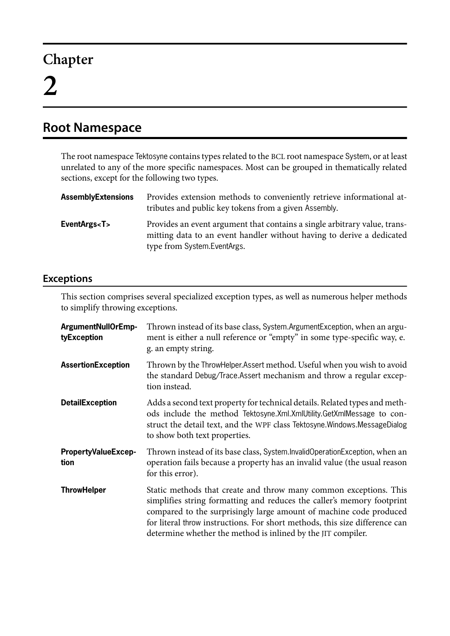# <span id="page-12-0"></span>**Root Namespace**

The root namespace Tektosyne contains types related to the BCL root namespace System, or at least unrelated to any of the more specific namespaces. Most can be grouped in thematically related sections, except for the following two types.

| <b>AssemblyExtensions</b> | Provides extension methods to conveniently retrieve informational at-<br>tributes and public key tokens from a given Assembly.                                                     |
|---------------------------|------------------------------------------------------------------------------------------------------------------------------------------------------------------------------------|
| EventArgs <t></t>         | Provides an event argument that contains a single arbitrary value, trans-<br>mitting data to an event handler without having to derive a dedicated<br>type from System. EventArgs. |

### <span id="page-12-1"></span>**Exceptions**

This section comprises several specialized exception types, as well as numerous helper methods to simplify throwing exceptions.

| ArgumentNullOrEmp-<br>tyException  | Thrown instead of its base class, System. Argument Exception, when an argu-<br>ment is either a null reference or "empty" in some type-specific way, e.<br>g. an empty string.                                                                                                                                                                                   |
|------------------------------------|------------------------------------------------------------------------------------------------------------------------------------------------------------------------------------------------------------------------------------------------------------------------------------------------------------------------------------------------------------------|
| <b>AssertionException</b>          | Thrown by the ThrowHelper. Assert method. Useful when you wish to avoid<br>the standard Debug/Trace.Assert mechanism and throw a regular excep-<br>tion instead.                                                                                                                                                                                                 |
| <b>DetailException</b>             | Adds a second text property for technical details. Related types and meth-<br>ods include the method Tektosyne.Xml.XmlUtility.GetXmlMessage to con-<br>struct the detail text, and the WPF class Tektosyne. Windows. Message Dialog<br>to show both text properties.                                                                                             |
| <b>PropertyValueExcep-</b><br>tion | Thrown instead of its base class, System.InvalidOperationException, when an<br>operation fails because a property has an invalid value (the usual reason<br>for this error).                                                                                                                                                                                     |
| <b>ThrowHelper</b>                 | Static methods that create and throw many common exceptions. This<br>simplifies string formatting and reduces the caller's memory footprint<br>compared to the surprisingly large amount of machine code produced<br>for literal throw instructions. For short methods, this size difference can<br>determine whether the method is inlined by the JIT compiler. |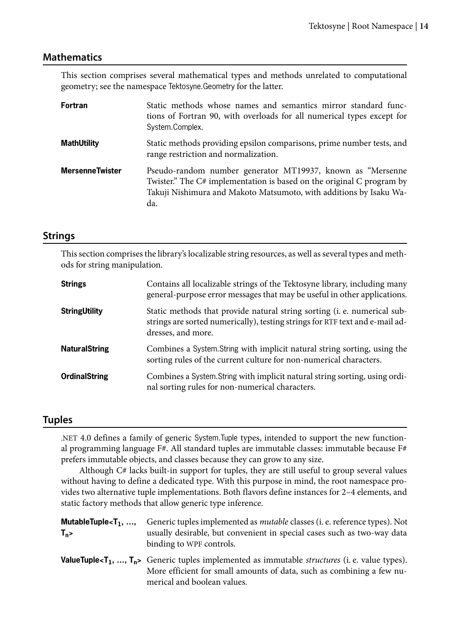#### <span id="page-13-0"></span>**Mathematics**

This section comprises several mathematical types and methods unrelated to computational geometry; see the namespace Tektosyne.Geometry for the latter.

| <b>Fortran</b>         | Static methods whose names and semantics mirror standard func-<br>tions of Fortran 90, with overloads for all numerical types except for<br>System.Complex.                                                      |
|------------------------|------------------------------------------------------------------------------------------------------------------------------------------------------------------------------------------------------------------|
| <b>MathUtility</b>     | Static methods providing epsilon comparisons, prime number tests, and<br>range restriction and normalization.                                                                                                    |
| <b>MersenneTwister</b> | Pseudo-random number generator MT19937, known as "Mersenne<br>Twister." The C# implementation is based on the original C program by<br>Takuji Nishimura and Makoto Matsumoto, with additions by Isaku Wa-<br>da. |

#### <span id="page-13-1"></span>**Strings**

This section comprises the library's localizable string resources, as well as several types and methods for string manipulation.

| <b>Strings</b>       | Contains all localizable strings of the Tektosyne library, including many<br>general-purpose error messages that may be useful in other applications.                          |
|----------------------|--------------------------------------------------------------------------------------------------------------------------------------------------------------------------------|
| <b>StringUtility</b> | Static methods that provide natural string sorting (i. e. numerical sub-<br>strings are sorted numerically), testing strings for RTF text and e-mail ad-<br>dresses, and more. |
| <b>NaturalString</b> | Combines a System. String with implicit natural string sorting, using the<br>sorting rules of the current culture for non-numerical characters.                                |
| <b>OrdinalString</b> | Combines a System. String with implicit natural string sorting, using ordi-<br>nal sorting rules for non-numerical characters.                                                 |

#### <span id="page-13-2"></span>**Tuples**

.NET 4.0 defines a family of generic System.Tuple types, intended to support the new functional programming language F#. All standard tuples are immutable classes: immutable because F# prefers immutable objects, and classes because they can grow to any size.

Although C# lacks built-in support for tuples, they are still useful to group several values without having to define a dedicated type. With this purpose in mind, the root namespace provides two alternative tuple implementations. Both flavors define instances for 2–4 elements, and static factory methods that allow generic type inference.

| MutableTuple< $T_1, \ldots,$<br>$T_{n}$ | Generic tuples implemented as <i>mutable</i> classes ( <i>i. e.</i> reference types). Not<br>usually desirable, but convenient in special cases such as two-way data<br>binding to WPF controls.                                                 |
|-----------------------------------------|--------------------------------------------------------------------------------------------------------------------------------------------------------------------------------------------------------------------------------------------------|
|                                         | <b>ValueTuple</b> < $\mathbf{T}_1$ , , $\mathbf{T}_{n}$ > Generic tuples implemented as immutable <i>structures</i> (i. e. value types).<br>More efficient for small amounts of data, such as combining a few nu-<br>merical and boolean values. |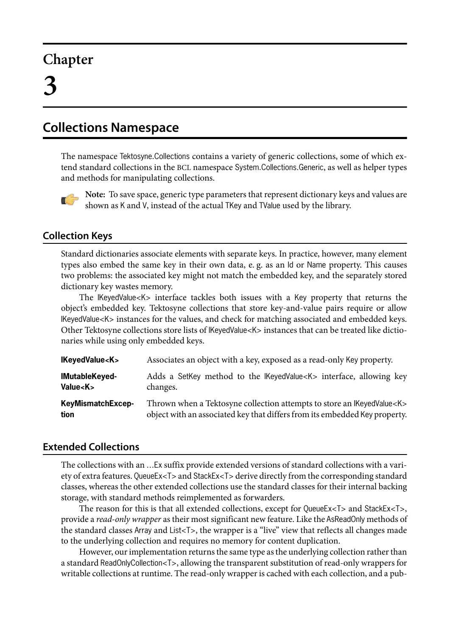# <span id="page-16-0"></span>**Collections Namespace**

The namespace Tektosyne.Collections contains a variety of generic collections, some of which extend standard collections in the BCL namespace System.Collections.Generic, as well as helper types and methods for manipulating collections.



**Note:** To save space, generic type parameters that represent dictionary keys and values are shown as K and V, instead of the actual TKey and TValue used by the library.

### <span id="page-16-1"></span>**Collection Keys**

Standard dictionaries associate elements with separate keys. In practice, however, many element types also embed the same key in their own data, e. g. as an Id or Name property. This causes two problems: the associated key might not match the embedded key, and the separately stored dictionary key wastes memory.

The IKeyedValue<K> interface tackles both issues with a Key property that returns the object's embedded key. Tektosyne collections that store key-and-value pairs require or allow IKeyedValue<K> instances for the values, and check for matching associated and embedded keys. Other Tektosyne collections store lists of IKeyedValue<K> instances that can be treated like dictionaries while using only embedded keys.

| <b>IKeyedValue<k></k></b> | Associates an object with a key, exposed as a read-only Key property.       |
|---------------------------|-----------------------------------------------------------------------------|
| <b>IMutableKeyed-</b>     | Adds a SetKey method to the IKeyedValue <k> interface, allowing key</k>     |
| Value <k></k>             | changes.                                                                    |
| KeyMismatchExcep-         | Thrown when a Tektosyne collection attempts to store an IKeyedValue <k></k> |
| tion                      | object with an associated key that differs from its embedded Key property.  |

### <span id="page-16-2"></span>**Extended Collections**

The collections with an …Ex suffix provide extended versions of standard collections with a variety of extra features. QueueEx<T> and StackEx<T> derive directly from the corresponding standard classes, whereas the other extended collections use the standard classes for their internal backing storage, with standard methods reimplemented as forwarders.

The reason for this is that all extended collections, except for QueueEx<T> and StackEx<T>, provide a *read-only wrapper* as their most significant new feature. Like the AsReadOnly methods of the standard classes Array and List<T>, the wrapper is a "live" view that reflects all changes made to the underlying collection and requires no memory for content duplication.

However, our implementation returns the same type as the underlying collection rather than a standard ReadOnlyCollection<T>, allowing the transparent substitution of read-only wrappers for writable collections at runtime. The read-only wrapper is cached with each collection, and a pub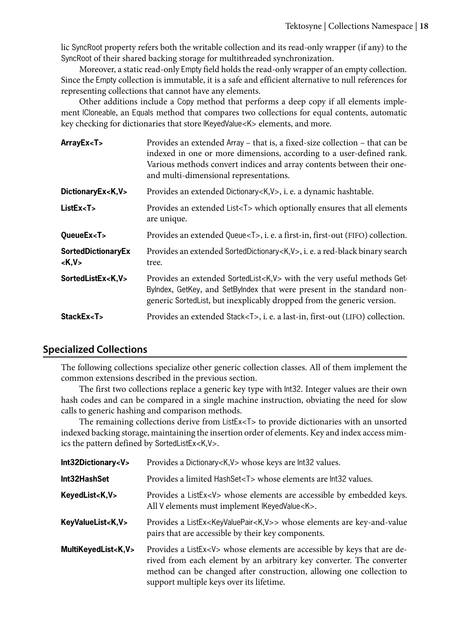lic SyncRoot property refers both the writable collection and its read-only wrapper (if any) to the SyncRoot of their shared backing storage for multithreaded synchronization.

Moreover, a static read-only Empty field holds the read-only wrapper of an empty collection. Since the Empty collection is immutable, it is a safe and efficient alternative to null references for representing collections that cannot have any elements.

Other additions include a Copy method that performs a deep copy if all elements implement ICloneable, an Equals method that compares two collections for equal contents, automatic key checking for dictionaries that store IKeyedValue<K> elements, and more.

| ArrayEx <t></t>             | Provides an extended Array – that is, a fixed-size collection – that can be<br>indexed in one or more dimensions, according to a user-defined rank.<br>Various methods convert indices and array contents between their one-<br>and multi-dimensional representations. |
|-----------------------------|------------------------------------------------------------------------------------------------------------------------------------------------------------------------------------------------------------------------------------------------------------------------|
| DictionaryEx <k, v=""></k,> | Provides an extended Dictionary < K, V>, i. e. a dynamic hashtable.                                                                                                                                                                                                    |
| ListEx <sub>1</sub>         | Provides an extended List <t> which optionally ensures that all elements<br/>are unique.</t>                                                                                                                                                                           |
| QueueEx <t></t>             | Provides an extended Queue <t>, i. e. a first-in, first-out (FIFO) collection.</t>                                                                                                                                                                                     |
| SortedDictionaryEx<br>K, V  | Provides an extended SortedDictionary <k, v="">, i. e. a red-black binary search<br/>tree.</k,>                                                                                                                                                                        |
| SortedListEx <k,v></k,v>    | Provides an extended SortedList <k, v=""> with the very useful methods Get-<br/>Bylndex, GetKey, and SetBylndex that were present in the standard non-<br/>generic SortedList, but inexplicably dropped from the generic version.</k,>                                 |
| StackEx <t></t>             | Provides an extended Stack <t>, i. e. a last-in, first-out (LIFO) collection.</t>                                                                                                                                                                                      |
|                             |                                                                                                                                                                                                                                                                        |

#### <span id="page-17-0"></span>**Specialized Collections**

The following collections specialize other generic collection classes. All of them implement the common extensions described in the previous section.

The first two collections replace a generic key type with Int32. Integer values are their own hash codes and can be compared in a single machine instruction, obviating the need for slow calls to generic hashing and comparison methods.

The remaining collections derive from ListEx<T> to provide dictionaries with an unsorted indexed backing storage, maintaining the insertion order of elements. Key and index access mimics the pattern defined by SortedListEx<K,V>.

| Int32Dictionary <v></v>     | Provides a Dictionary < K, V > whose keys are lnt 32 values.                                                                                                                                                                                                                |
|-----------------------------|-----------------------------------------------------------------------------------------------------------------------------------------------------------------------------------------------------------------------------------------------------------------------------|
| Int32HashSet                | Provides a limited HashSet <t> whose elements are lnt32 values.</t>                                                                                                                                                                                                         |
| KeyedList <k, v=""></k,>    | Provides a ListEx <v> whose elements are accessible by embedded keys.<br/>All V elements must implement IKeyedValue<k>.</k></v>                                                                                                                                             |
| KeyValueList <k, v=""></k,> | Provides a ListEx <keyvaluepair<k,v>&gt; whose elements are key-and-value<br/>pairs that are accessible by their key components.</keyvaluepair<k,v>                                                                                                                         |
| MultiKeyedList <k,v></k,v>  | Provides a ListEx <v> whose elements are accessible by keys that are de-<br/>rived from each element by an arbitrary key converter. The converter<br/>method can be changed after construction, allowing one collection to<br/>support multiple keys over its lifetime.</v> |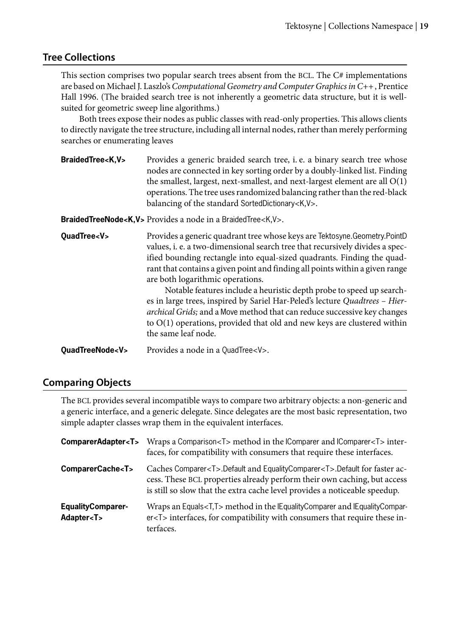#### <span id="page-18-0"></span>**Tree Collections**

This section comprises two popular search trees absent from the BCL. The C# implementations are based on Michael J. Laszlo's *Computational Geometry and Computer Graphics in C++*, Prentice Hall 1996. (The braided search tree is not inherently a geometric data structure, but it is wellsuited for geometric sweep line algorithms.)

Both trees expose their nodes as public classes with read-only properties. This allows clients to directly navigate the tree structure, including all internal nodes, rather than merely performing searches or enumerating leaves

| <b>BraidedTree<k,v></k,v></b> | Provides a generic braided search tree, i. e. a binary search tree whose<br>nodes are connected in key sorting order by a doubly-linked list. Finding<br>the smallest, largest, next-smallest, and next-largest element are all $O(1)$<br>operations. The tree uses randomized balancing rather than the red-black<br>balancing of the standard SortedDictionary <k, v="">.</k,>                                                                                                                                                                                                                                                                                                                 |  |  |
|-------------------------------|--------------------------------------------------------------------------------------------------------------------------------------------------------------------------------------------------------------------------------------------------------------------------------------------------------------------------------------------------------------------------------------------------------------------------------------------------------------------------------------------------------------------------------------------------------------------------------------------------------------------------------------------------------------------------------------------------|--|--|
|                               | BraidedTreeNode <k, v=""> Provides a node in a BraidedTree<k, v="">.</k,></k,>                                                                                                                                                                                                                                                                                                                                                                                                                                                                                                                                                                                                                   |  |  |
| QuadTree <v></v>              | Provides a generic quadrant tree whose keys are Tektosyne. Geometry. PointD<br>values, i. e. a two-dimensional search tree that recursively divides a spec-<br>ified bounding rectangle into equal-sized quadrants. Finding the quad-<br>rant that contains a given point and finding all points within a given range<br>are both logarithmic operations.<br>Notable features include a heuristic depth probe to speed up search-<br>es in large trees, inspired by Sariel Har-Peled's lecture Quadtrees - Hier-<br>archical Grids; and a Move method that can reduce successive key changes<br>to $O(1)$ operations, provided that old and new keys are clustered within<br>the same leaf node. |  |  |

QuadTreeNode<V>
Provides a node in a QuadTree<V>.

#### <span id="page-18-1"></span>**Comparing Objects**

The BCL provides several incompatible ways to compare two arbitrary objects: a non-generic and a generic interface, and a generic delegate. Since delegates are the most basic representation, two simple adapter classes wrap them in the equivalent interfaces.

| ComparerAdapter <t></t>                     | Wraps a Comparison <t> method in the lComparer and lComparer<t> inter-<br/>faces, for compatibility with consumers that require these interfaces.</t></t>                                                                                      |
|---------------------------------------------|------------------------------------------------------------------------------------------------------------------------------------------------------------------------------------------------------------------------------------------------|
| ComparerCache <t></t>                       | Caches Comparer <t>.Default and EqualityComparer<t>.Default for faster ac-<br/>cess. These BCL properties already perform their own caching, but access<br/>is still so slow that the extra cache level provides a noticeable speedup.</t></t> |
| <b>EqualityComparer-</b><br>Adapter <t></t> | Wraps an Equals <t,t> method in the lEqualityComparer and lEqualityCompar-<br/>er<t> interfaces, for compatibility with consumers that require these in-<br/>terfaces.</t></t,t>                                                               |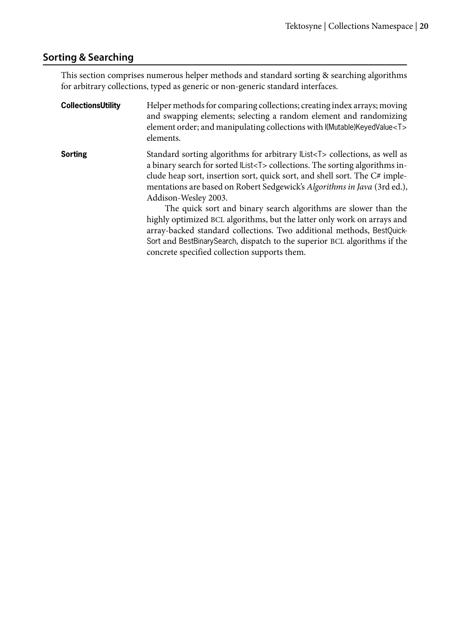## <span id="page-19-0"></span>**Sorting & Searching**

This section comprises numerous helper methods and standard sorting & searching algorithms for arbitrary collections, typed as generic or non-generic standard interfaces.

| <b>CollectionsUtility</b> | Helper methods for comparing collections; creating index arrays; moving<br>and swapping elements; selecting a random element and randomizing<br>element order; and manipulating collections with I(Mutable)KeyedValue <t><br/>elements.</t>                                                                                                                                  |
|---------------------------|------------------------------------------------------------------------------------------------------------------------------------------------------------------------------------------------------------------------------------------------------------------------------------------------------------------------------------------------------------------------------|
| <b>Sorting</b>            | Standard sorting algorithms for arbitrary IList <t> collections, as well as<br/>a binary search for sorted <math>\lfloor</math> List<t> collections. The sorting algorithms in-<br/>clude heap sort, insertion sort, quick sort, and shell sort. The C# imple-<br/>mentations are based on Robert Sedgewick's Algorithms in Java (3rd ed.),<br/>Addison-Wesley 2003.</t></t> |
|                           | The quick sort and binary search algorithms are slower than the<br>highly optimized BCL algorithms, but the latter only work on arrays and<br>array-backed standard collections. Two additional methods, BestQuick-<br>Sort and BestBinarySearch, dispatch to the superior BCL algorithms if the<br>concrete specified collection supports them.                             |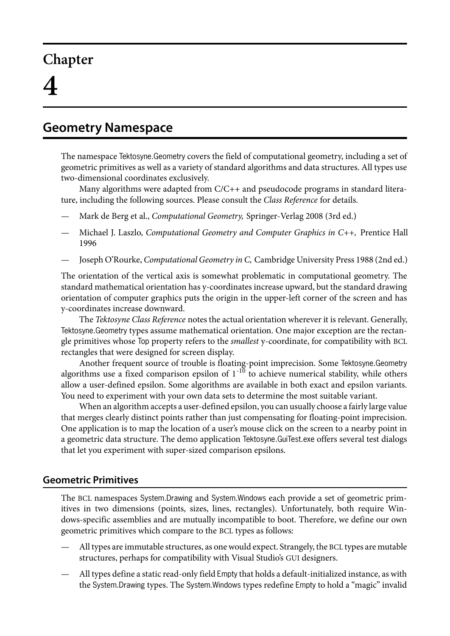## <span id="page-20-0"></span>**Geometry Namespace**

The namespace Tektosyne.Geometry covers the field of computational geometry, including a set of geometric primitives as well as a variety of standard algorithms and data structures. All types use two-dimensional coordinates exclusively.

Many algorithms were adapted from C/C++ and pseudocode programs in standard literature, including the following sources. Please consult the *Class Reference* for details.

- Mark de Berg et al., *Computational Geometry,* Springer-Verlag 2008 (3rd ed.)
- Michael J. Laszlo, *Computational Geometry and Computer Graphics in C++,* Prentice Hall 1996
- Joseph O'Rourke, *Computational Geometry in C,* Cambridge University Press 1988 (2nd ed.)

The orientation of the vertical axis is somewhat problematic in computational geometry. The standard mathematical orientation has y-coordinates increase upward, but the standard drawing orientation of computer graphics puts the origin in the upper-left corner of the screen and has y-coordinates increase downward.

The *Tektosyne Class Reference* notes the actual orientation wherever it is relevant. Generally, Tektosyne.Geometry types assume mathematical orientation. One major exception are the rectangle primitives whose Top property refers to the *smallest* y-coordinate, for compatibility with BCL rectangles that were designed for screen display.

Another frequent source of trouble is floating-point imprecision. Some Tektosyne.Geometry algorithms use a fixed comparison epsilon of  $1^{-10}$  to achieve numerical stability, while others allow a user-defined epsilon. Some algorithms are available in both exact and epsilon variants. You need to experiment with your own data sets to determine the most suitable variant.

When an algorithm accepts a user-defined epsilon, you can usually choose a fairly large value that merges clearly distinct points rather than just compensating for floating-point imprecision. One application is to map the location of a user's mouse click on the screen to a nearby point in a geometric data structure. The demo application Tektosyne.GuiTest.exe offers several test dialogs that let you experiment with super-sized comparison epsilons.

#### <span id="page-20-1"></span>**Geometric Primitives**

The BCL namespaces System.Drawing and System.Windows each provide a set of geometric primitives in two dimensions (points, sizes, lines, rectangles). Unfortunately, both require Windows-specific assemblies and are mutually incompatible to boot. Therefore, we define our own geometric primitives which compare to the BCL types as follows:

- All types are immutable structures, as one would expect. Strangely, the BCL types are mutable structures, perhaps for compatibility with Visual Studio's GUI designers.
- All types define a static read-only field Empty that holds a default-initialized instance, as with the System.Drawing types. The System.Windows types redefine Empty to hold a "magic" invalid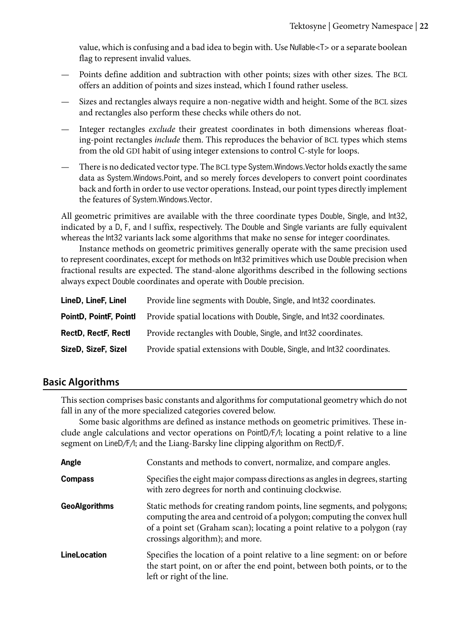value, which is confusing and a bad idea to begin with. Use Nullable<T> or a separate boolean flag to represent invalid values.

- Points define addition and subtraction with other points; sizes with other sizes. The BCL offers an addition of points and sizes instead, which I found rather useless.
- Sizes and rectangles always require a non-negative width and height. Some of the BCL sizes and rectangles also perform these checks while others do not.
- Integer rectangles *exclude* their greatest coordinates in both dimensions whereas floating-point rectangles *include* them. This reproduces the behavior of BCL types which stems from the old GDI habit of using integer extensions to control C-style for loops.
- There is no dedicated vector type. The BCL type System.Windows.Vector holds exactly the same data as System.Windows.Point, and so merely forces developers to convert point coordinates back and forth in order to use vector operations. Instead, our point types directly implement the features of System.Windows.Vector.

All geometric primitives are available with the three coordinate types Double, Single, and Int32, indicated by a D, F, and I suffix, respectively. The Double and Single variants are fully equivalent whereas the Int32 variants lack some algorithms that make no sense for integer coordinates.

Instance methods on geometric primitives generally operate with the same precision used to represent coordinates, except for methods on Int32 primitives which use Double precision when fractional results are expected. The stand-alone algorithms described in the following sections always expect Double coordinates and operate with Double precision.

| LineD, LineF, Linel    | Provide line segments with Double, Single, and Int32 coordinates.      |
|------------------------|------------------------------------------------------------------------|
| PointD, PointF, Pointl | Provide spatial locations with Double, Single, and Int32 coordinates.  |
| RectD, RectF, RectI    | Provide rectangles with Double, Single, and Int32 coordinates.         |
| SizeD, SizeF, Sizel    | Provide spatial extensions with Double, Single, and Int32 coordinates. |

#### <span id="page-21-0"></span>**Basic Algorithms**

This section comprises basic constants and algorithms for computational geometry which do not fall in any of the more specialized categories covered below.

Some basic algorithms are defined as instance methods on geometric primitives. These include angle calculations and vector operations on PointD/F/I; locating a point relative to a line segment on LineD/F/I; and the Liang-Barsky line clipping algorithm on RectD/F.

| Angle                | Constants and methods to convert, normalize, and compare angles.                                                                                                                                                                                                   |
|----------------------|--------------------------------------------------------------------------------------------------------------------------------------------------------------------------------------------------------------------------------------------------------------------|
| <b>Compass</b>       | Specifies the eight major compass directions as angles in degrees, starting<br>with zero degrees for north and continuing clockwise.                                                                                                                               |
| <b>GeoAlgorithms</b> | Static methods for creating random points, line segments, and polygons;<br>computing the area and centroid of a polygon; computing the convex hull<br>of a point set (Graham scan); locating a point relative to a polygon (ray<br>crossings algorithm); and more. |
| <b>LineLocation</b>  | Specifies the location of a point relative to a line segment: on or before<br>the start point, on or after the end point, between both points, or to the<br>left or right of the line.                                                                             |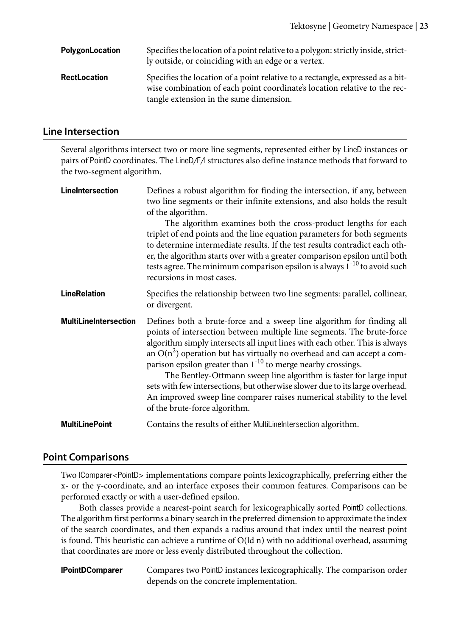| PolygonLocation     | Specifies the location of a point relative to a polygon: strictly inside, strict-<br>ly outside, or coinciding with an edge or a vertex.                                                               |
|---------------------|--------------------------------------------------------------------------------------------------------------------------------------------------------------------------------------------------------|
| <b>RectLocation</b> | Specifies the location of a point relative to a rectangle, expressed as a bit-<br>wise combination of each point coordinate's location relative to the rec-<br>tangle extension in the same dimension. |

#### <span id="page-22-0"></span>**Line Intersection**

Several algorithms intersect two or more line segments, represented either by LineD instances or pairs of PointD coordinates. The LineD/F/I structures also define instance methods that forward to the two-segment algorithm.

| <b>LineIntersection</b>      | Defines a robust algorithm for finding the intersection, if any, between<br>two line segments or their infinite extensions, and also holds the result<br>of the algorithm.<br>The algorithm examines both the cross-product lengths for each<br>triplet of end points and the line equation parameters for both segments<br>to determine intermediate results. If the test results contradict each oth-<br>er, the algorithm starts over with a greater comparison epsilon until both<br>tests agree. The minimum comparison epsilon is always $1^{-10}$ to avoid such<br>recursions in most cases.                                                |
|------------------------------|----------------------------------------------------------------------------------------------------------------------------------------------------------------------------------------------------------------------------------------------------------------------------------------------------------------------------------------------------------------------------------------------------------------------------------------------------------------------------------------------------------------------------------------------------------------------------------------------------------------------------------------------------|
| <b>LineRelation</b>          | Specifies the relationship between two line segments: parallel, collinear,<br>or divergent.                                                                                                                                                                                                                                                                                                                                                                                                                                                                                                                                                        |
| <b>MultiLineIntersection</b> | Defines both a brute-force and a sweep line algorithm for finding all<br>points of intersection between multiple line segments. The brute-force<br>algorithm simply intersects all input lines with each other. This is always<br>an $O(n^2)$ operation but has virtually no overhead and can accept a com-<br>parison epsilon greater than $1^{-10}$ to merge nearby crossings.<br>The Bentley-Ottmann sweep line algorithm is faster for large input<br>sets with few intersections, but otherwise slower due to its large overhead.<br>An improved sweep line comparer raises numerical stability to the level<br>of the brute-force algorithm. |
| <b>MultiLinePoint</b>        | Contains the results of either MultiLine Intersection algorithm.                                                                                                                                                                                                                                                                                                                                                                                                                                                                                                                                                                                   |

#### <span id="page-22-1"></span>**Point Comparisons**

Two IComparer<PointD> implementations compare points lexicographically, preferring either the x- or the y-coordinate, and an interface exposes their common features. Comparisons can be performed exactly or with a user-defined epsilon.

Both classes provide a nearest-point search for lexicographically sorted PointD collections. The algorithm first performs a binary search in the preferred dimension to approximate the index of the search coordinates, and then expands a radius around that index until the nearest point is found. This heuristic can achieve a runtime of O(ld n) with no additional overhead, assuming that coordinates are more or less evenly distributed throughout the collection.

**IPointDComparer** Compares two PointD instances lexicographically. The comparison order depends on the concrete implementation.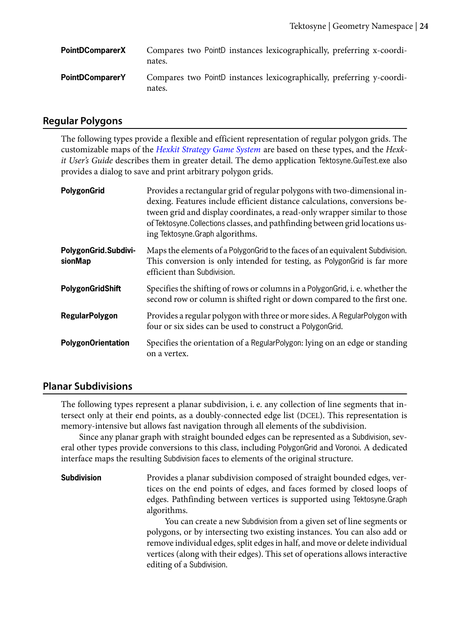| <b>PointDComparerX</b> | Compares two PointD instances lexicographically, preferring x-coordi-<br>nates. |
|------------------------|---------------------------------------------------------------------------------|
| <b>PointDComparerY</b> | Compares two PointD instances lexicographically, preferring y-coordi-<br>nates. |

#### <span id="page-23-0"></span>**Regular Polygons**

The following types provide a flexible and efficient representation of regular polygon grids. The customizable maps of the *[Hexkit Strategy Game System](http://www.kynosarges.org/Hexkit.html)* are based on these types, and the *Hexkit User's Guide* describes them in greater detail. The demo application Tektosyne.GuiTest.exe also provides a dialog to save and print arbitrary polygon grids.

| PolygonGrid                     | Provides a rectangular grid of regular polygons with two-dimensional in-<br>dexing. Features include efficient distance calculations, conversions be-<br>tween grid and display coordinates, a read-only wrapper similar to those<br>of Tektosyne. Collections classes, and pathfinding between grid locations us-<br>ing Tektosyne. Graph algorithms. |
|---------------------------------|--------------------------------------------------------------------------------------------------------------------------------------------------------------------------------------------------------------------------------------------------------------------------------------------------------------------------------------------------------|
| PolygonGrid.Subdivi-<br>sionMap | Maps the elements of a PolygonGrid to the faces of an equivalent Subdivision.<br>This conversion is only intended for testing, as PolygonGrid is far more<br>efficient than Subdivision.                                                                                                                                                               |
| PolygonGridShift                | Specifies the shifting of rows or columns in a PolygonGrid, i. e. whether the<br>second row or column is shifted right or down compared to the first one.                                                                                                                                                                                              |
| <b>RegularPolygon</b>           | Provides a regular polygon with three or more sides. A RegularPolygon with<br>four or six sides can be used to construct a PolygonGrid.                                                                                                                                                                                                                |
| <b>PolygonOrientation</b>       | Specifies the orientation of a RegularPolygon: lying on an edge or standing<br>on a vertex.                                                                                                                                                                                                                                                            |

#### <span id="page-23-1"></span>**Planar Subdivisions**

The following types represent a planar subdivision, i. e. any collection of line segments that intersect only at their end points, as a doubly-connected edge list (DCEL). This representation is memory-intensive but allows fast navigation through all elements of the subdivision.

Since any planar graph with straight bounded edges can be represented as a Subdivision, several other types provide conversions to this class, including PolygonGrid and Voronoi. A dedicated interface maps the resulting Subdivision faces to elements of the original structure.

**Subdivision** Provides a planar subdivision composed of straight bounded edges, vertices on the end points of edges, and faces formed by closed loops of edges. Pathfinding between vertices is supported using Tektosyne.Graph algorithms.

> You can create a new Subdivision from a given set of line segments or polygons, or by intersecting two existing instances. You can also add or remove individual edges, split edges in half, and move or delete individual vertices (along with their edges). This set of operations allows interactive editing of a Subdivision.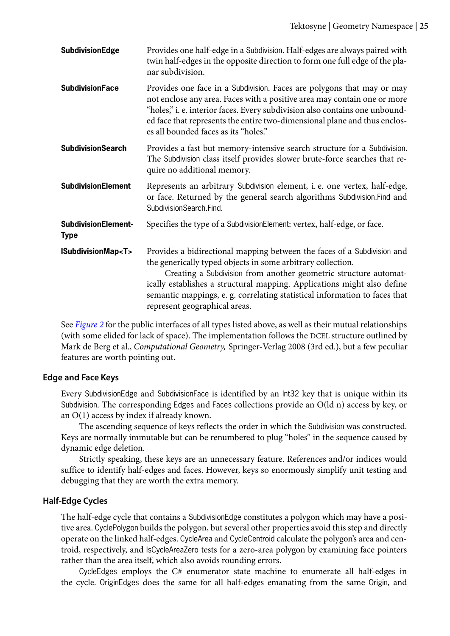| SubdivisionEdge                           | Provides one half-edge in a Subdivision. Half-edges are always paired with<br>twin half-edges in the opposite direction to form one full edge of the pla-<br>nar subdivision.                                                                                                                                                                                                                        |
|-------------------------------------------|------------------------------------------------------------------------------------------------------------------------------------------------------------------------------------------------------------------------------------------------------------------------------------------------------------------------------------------------------------------------------------------------------|
| <b>SubdivisionFace</b>                    | Provides one face in a Subdivision. Faces are polygons that may or may<br>not enclose any area. Faces with a positive area may contain one or more<br>"holes," i. e. interior faces. Every subdivision also contains one unbound-<br>ed face that represents the entire two-dimensional plane and thus enclos-<br>es all bounded faces as its "holes."                                               |
| <b>SubdivisionSearch</b>                  | Provides a fast but memory-intensive search structure for a Subdivision.<br>The Subdivision class itself provides slower brute-force searches that re-<br>quire no additional memory.                                                                                                                                                                                                                |
| <b>SubdivisionElement</b>                 | Represents an arbitrary Subdivision element, i. e. one vertex, half-edge,<br>or face. Returned by the general search algorithms Subdivision. Find and<br>SubdivisionSearch.Find.                                                                                                                                                                                                                     |
| <b>SubdivisionElement-</b><br><b>Type</b> | Specifies the type of a SubdivisionElement: vertex, half-edge, or face.                                                                                                                                                                                                                                                                                                                              |
| <b>ISubdivisionMap<t></t></b>             | Provides a bidirectional mapping between the faces of a Subdivision and<br>the generically typed objects in some arbitrary collection.<br>Creating a Subdivision from another geometric structure automat-<br>ically establishes a structural mapping. Applications might also define<br>semantic mappings, e. g. correlating statistical information to faces that<br>represent geographical areas. |

See *Figure 2* for the public interfaces of all types listed above, as well as their mutual relationships (with some elided for lack of space). The implementation follows the DCEL structure outlined by Mark de Berg et al., *Computational Geometry,* Springer-Verlag 2008 (3rd ed.), but a few peculiar features are worth pointing out.

#### <span id="page-24-0"></span>**Edge and Face Keys**

Every SubdivisionEdge and SubdivisionFace is identified by an Int32 key that is unique within its Subdivision. The corresponding Edges and Faces collections provide an O(ld n) access by key, or an O(1) access by index if already known.

The ascending sequence of keys reflects the order in which the Subdivision was constructed. Keys are normally immutable but can be renumbered to plug "holes" in the sequence caused by dynamic edge deletion.

Strictly speaking, these keys are an unnecessary feature. References and/or indices would suffice to identify half-edges and faces. However, keys so enormously simplify unit testing and debugging that they are worth the extra memory.

#### <span id="page-24-1"></span>**Half-Edge Cycles**

The half-edge cycle that contains a SubdivisionEdge constitutes a polygon which may have a positive area. CyclePolygon builds the polygon, but several other properties avoid this step and directly operate on the linked half-edges. CycleArea and CycleCentroid calculate the polygon's area and centroid, respectively, and IsCycleAreaZero tests for a zero-area polygon by examining face pointers rather than the area itself, which also avoids rounding errors.

CycleEdges employs the C# enumerator state machine to enumerate all half-edges in the cycle. OriginEdges does the same for all half-edges emanating from the same Origin, and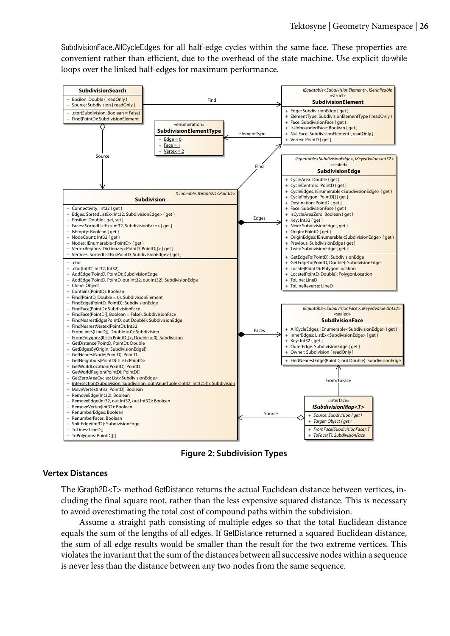SubdivisionFace.AllCycleEdges for all half-edge cycles within the same face. These properties are convenient rather than efficient, due to the overhead of the state machine. Use explicit do-while loops over the linked half-edges for maximum performance.

<span id="page-25-1"></span>

**Figure 2: Subdivision Types**

#### <span id="page-25-0"></span>**Vertex Distances**

The IGraph2D<T> method GetDistance returns the actual Euclidean distance between vertices, including the final square root, rather than the less expensive squared distance. This is necessary to avoid overestimating the total cost of compound paths within the subdivision.

Assume a straight path consisting of multiple edges so that the total Euclidean distance equals the sum of the lengths of all edges. If GetDistance returned a squared Euclidean distance, the sum of all edge results would be smaller than the result for the two extreme vertices. This violates the invariant that the sum of the distances between all successive nodes within a sequence is never less than the distance between any two nodes from the same sequence.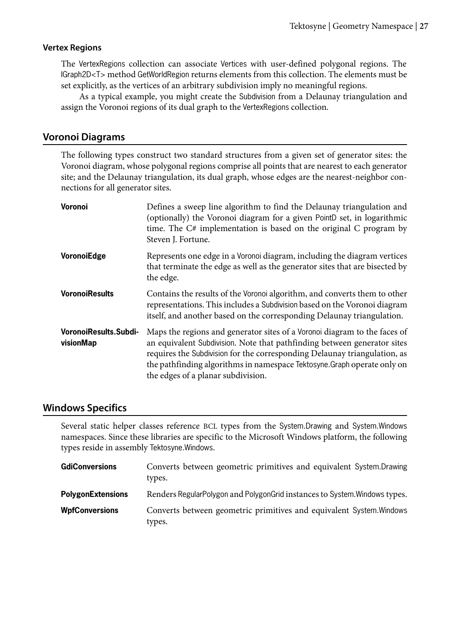#### <span id="page-26-0"></span>**Vertex Regions**

The VertexRegions collection can associate Vertices with user-defined polygonal regions. The IGraph2D<T> method GetWorldRegion returns elements from this collection. The elements must be set explicitly, as the vertices of an arbitrary subdivision imply no meaningful regions.

As a typical example, you might create the Subdivision from a Delaunay triangulation and assign the Voronoi regions of its dual graph to the VertexRegions collection.

#### <span id="page-26-1"></span>**Voronoi Diagrams**

The following types construct two standard structures from a given set of generator sites: the Voronoi diagram, whose polygonal regions comprise all points that are nearest to each generator site; and the Delaunay triangulation, its dual graph, whose edges are the nearest-neighbor connections for all generator sites.

| Voronoi                                   | Defines a sweep line algorithm to find the Delaunay triangulation and<br>(optionally) the Voronoi diagram for a given PointD set, in logarithmic<br>time. The C# implementation is based on the original C program by<br>Steven J. Fortune.                                                                                                          |
|-------------------------------------------|------------------------------------------------------------------------------------------------------------------------------------------------------------------------------------------------------------------------------------------------------------------------------------------------------------------------------------------------------|
| VoronoiEdge                               | Represents one edge in a Voronoi diagram, including the diagram vertices<br>that terminate the edge as well as the generator sites that are bisected by<br>the edge.                                                                                                                                                                                 |
| <b>VoronoiResults</b>                     | Contains the results of the Voronoi algorithm, and converts them to other<br>representations. This includes a Subdivision based on the Voronoi diagram<br>itself, and another based on the corresponding Delaunay triangulation.                                                                                                                     |
| <b>VoronoiResults.Subdi-</b><br>visionMap | Maps the regions and generator sites of a Voronoi diagram to the faces of<br>an equivalent Subdivision. Note that pathfinding between generator sites<br>requires the Subdivision for the corresponding Delaunay triangulation, as<br>the pathfinding algorithms in namespace Tektosyne. Graph operate only on<br>the edges of a planar subdivision. |

#### <span id="page-26-2"></span>**Windows Specifics**

Several static helper classes reference BCL types from the System.Drawing and System.Windows namespaces. Since these libraries are specific to the Microsoft Windows platform, the following types reside in assembly Tektosyne.Windows.

| <b>GdiConversions</b>    | Converts between geometric primitives and equivalent System. Drawing<br>types. |
|--------------------------|--------------------------------------------------------------------------------|
| <b>PolygonExtensions</b> | Renders RegularPolygon and PolygonGrid instances to System. Windows types.     |
| <b>WpfConversions</b>    | Converts between geometric primitives and equivalent System. Windows<br>types. |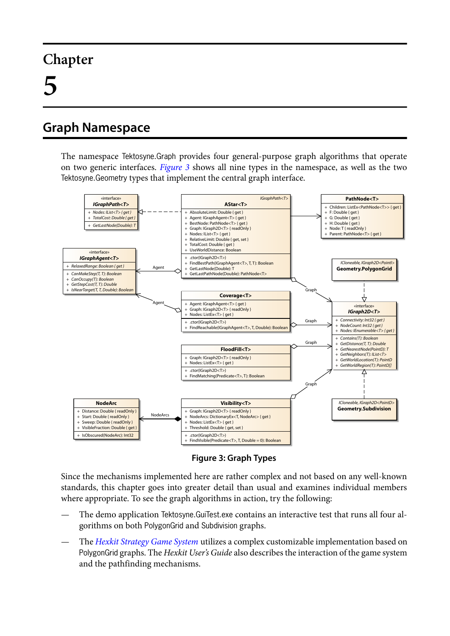# <span id="page-28-0"></span>**Graph Namespace**

The namespace Tektosyne.Graph provides four general-purpose graph algorithms that operate on two generic interfaces. *[Figure 3](#page-28-1)* shows all nine types in the namespace, as well as the two Tektosyne.Geometry types that implement the central graph interface.

<span id="page-28-1"></span>

**Figure 3: Graph Types**

Since the mechanisms implemented here are rather complex and not based on any well-known standards, this chapter goes into greater detail than usual and examines individual members where appropriate. To see the graph algorithms in action, try the following:

- The demo application Tektosyne.GuiTest.exe contains an interactive test that runs all four algorithms on both PolygonGrid and Subdivision graphs.
- The *[Hexkit Strategy Game System](http://www.kynosarges.org/Hexkit.html)* utilizes a complex customizable implementation based on PolygonGrid graphs. The *Hexkit User's Guide* also describes the interaction of the game system and the pathfinding mechanisms.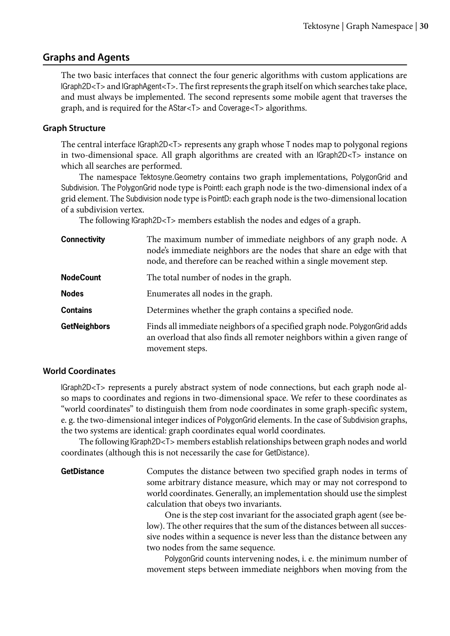#### <span id="page-29-0"></span>**Graphs and Agents**

The two basic interfaces that connect the four generic algorithms with custom applications are IGraph2D<T> and IGraphAgent<T>. The first represents the graph itself on which searches take place, and must always be implemented. The second represents some mobile agent that traverses the graph, and is required for the AStar<T> and Coverage<T> algorithms.

#### <span id="page-29-1"></span>**Graph Structure**

The central interface IGraph2D<T> represents any graph whose T nodes map to polygonal regions in two-dimensional space. All graph algorithms are created with an IGraph2D<T> instance on which all searches are performed.

The namespace Tektosyne.Geometry contains two graph implementations, PolygonGrid and Subdivision. The PolygonGrid node type is Pointl: each graph node is the two-dimensional index of a grid element. The Subdivision node type is PointD: each graph node is the two-dimensional location of a subdivision vertex.

The following IGraph2D<T> members establish the nodes and edges of a graph.

| <b>Connectivity</b> | The maximum number of immediate neighbors of any graph node. A<br>node's immediate neighbors are the nodes that share an edge with that<br>node, and therefore can be reached within a single movement step. |
|---------------------|--------------------------------------------------------------------------------------------------------------------------------------------------------------------------------------------------------------|
| <b>NodeCount</b>    | The total number of nodes in the graph.                                                                                                                                                                      |
| <b>Nodes</b>        | Enumerates all nodes in the graph.                                                                                                                                                                           |
| <b>Contains</b>     | Determines whether the graph contains a specified node.                                                                                                                                                      |
| <b>GetNeighbors</b> | Finds all immediate neighbors of a specified graph node. PolygonGrid adds<br>an overload that also finds all remoter neighbors within a given range of<br>movement steps.                                    |

#### <span id="page-29-2"></span>**World Coordinates**

IGraph2D<T> represents a purely abstract system of node connections, but each graph node also maps to coordinates and regions in two-dimensional space. We refer to these coordinates as "world coordinates" to distinguish them from node coordinates in some graph-specific system, e. g. the two-dimensional integer indices of PolygonGrid elements. In the case of Subdivision graphs, the two systems are identical: graph coordinates equal world coordinates.

The following IGraph2D<T> members establish relationships between graph nodes and world coordinates (although this is not necessarily the case for GetDistance).

**GetDistance** Computes the distance between two specified graph nodes in terms of some arbitrary distance measure, which may or may not correspond to world coordinates. Generally, an implementation should use the simplest calculation that obeys two invariants.

> One is the step cost invariant for the associated graph agent (see below). The other requires that the sum of the distances between all successive nodes within a sequence is never less than the distance between any two nodes from the same sequence.

> PolygonGrid counts intervening nodes, i. e. the minimum number of movement steps between immediate neighbors when moving from the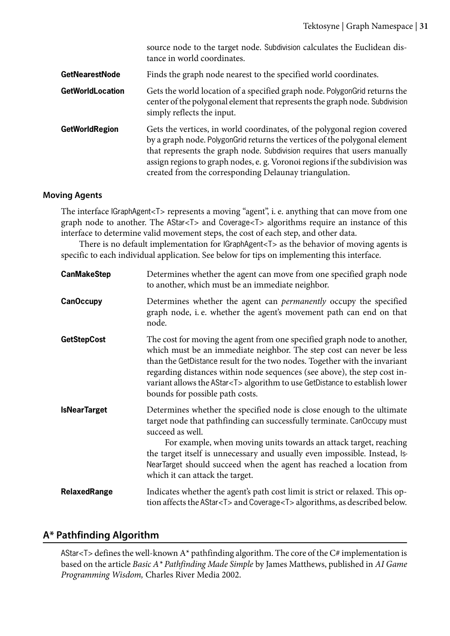|                         | source node to the target node. Subdivision calculates the Euclidean dis-<br>tance in world coordinates.                                                                                                                                                                                                                                                                    |
|-------------------------|-----------------------------------------------------------------------------------------------------------------------------------------------------------------------------------------------------------------------------------------------------------------------------------------------------------------------------------------------------------------------------|
| GetNearestNode          | Finds the graph node nearest to the specified world coordinates.                                                                                                                                                                                                                                                                                                            |
| <b>GetWorldLocation</b> | Gets the world location of a specified graph node. PolygonGrid returns the<br>center of the polygonal element that represents the graph node. Subdivision<br>simply reflects the input.                                                                                                                                                                                     |
| <b>GetWorldRegion</b>   | Gets the vertices, in world coordinates, of the polygonal region covered<br>by a graph node. PolygonGrid returns the vertices of the polygonal element<br>that represents the graph node. Subdivision requires that users manually<br>assign regions to graph nodes, e. g. Voronoi regions if the subdivision was<br>created from the corresponding Delaunay triangulation. |

#### <span id="page-30-0"></span>**Moving Agents**

The interface IGraphAgent<T> represents a moving "agent", i. e. anything that can move from one graph node to another. The AStar<T> and Coverage<T> algorithms require an instance of this interface to determine valid movement steps, the cost of each step, and other data.

There is no default implementation for IGraphAgent<T> as the behavior of moving agents is specific to each individual application. See below for tips on implementing this interface.

| <b>CanMakeStep</b>  | Determines whether the agent can move from one specified graph node<br>to another, which must be an immediate neighbor.                                                                                                                                                                                                                                                                                                            |
|---------------------|------------------------------------------------------------------------------------------------------------------------------------------------------------------------------------------------------------------------------------------------------------------------------------------------------------------------------------------------------------------------------------------------------------------------------------|
| <b>CanOccupy</b>    | Determines whether the agent can <i>permanently</i> occupy the specified<br>graph node, i.e. whether the agent's movement path can end on that<br>node.                                                                                                                                                                                                                                                                            |
| <b>GetStepCost</b>  | The cost for moving the agent from one specified graph node to another,<br>which must be an immediate neighbor. The step cost can never be less<br>than the GetDistance result for the two nodes. Together with the invariant<br>regarding distances within node sequences (see above), the step cost in-<br>variant allows the AStar <t> algorithm to use GetDistance to establish lower<br/>bounds for possible path costs.</t>  |
| <b>IsNearTarget</b> | Determines whether the specified node is close enough to the ultimate<br>target node that pathfinding can successfully terminate. CanOccupy must<br>succeed as well.<br>For example, when moving units towards an attack target, reaching<br>the target itself is unnecessary and usually even impossible. Instead, Is-<br>NearTarget should succeed when the agent has reached a location from<br>which it can attack the target. |
| <b>RelaxedRange</b> | Indicates whether the agent's path cost limit is strict or relaxed. This op-<br>tion affects the AStar <t> and Coverage<t> algorithms, as described below.</t></t>                                                                                                                                                                                                                                                                 |

#### <span id="page-30-1"></span>**A\* Pathfinding Algorithm**

AStar<T> defines the well-known  $A^*$  pathfinding algorithm. The core of the  $C#$  implementation is based on the article *Basic A\* Pathfinding Made Simple* by James Matthews, published in *AI Game Programming Wisdom,* Charles River Media 2002.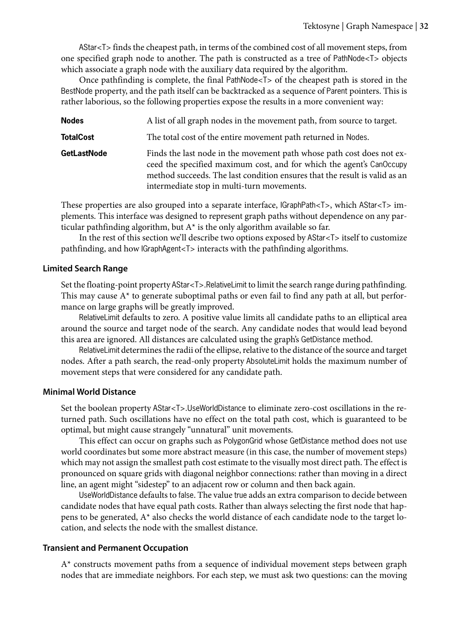AStar<T> finds the cheapest path, in terms of the combined cost of all movement steps, from one specified graph node to another. The path is constructed as a tree of PathNode<T> objects which associate a graph node with the auxiliary data required by the algorithm.

Once pathfinding is complete, the final PathNode<T> of the cheapest path is stored in the BestNode property, and the path itself can be backtracked as a sequence of Parent pointers. This is rather laborious, so the following properties expose the results in a more convenient way:

| <b>Nodes</b>       | A list of all graph nodes in the movement path, from source to target.                                                                                                                                                                                                    |
|--------------------|---------------------------------------------------------------------------------------------------------------------------------------------------------------------------------------------------------------------------------------------------------------------------|
| <b>TotalCost</b>   | The total cost of the entire movement path returned in Nodes.                                                                                                                                                                                                             |
| <b>GetLastNode</b> | Finds the last node in the movement path whose path cost does not ex-<br>ceed the specified maximum cost, and for which the agent's CanOccupy<br>method succeeds. The last condition ensures that the result is valid as an<br>intermediate stop in multi-turn movements. |

These properties are also grouped into a separate interface, IGraphPath<T>, which AStar<T> implements. This interface was designed to represent graph paths without dependence on any particular pathfinding algorithm, but A\* is the only algorithm available so far.

In the rest of this section we'll describe two options exposed by AStar<T> itself to customize pathfinding, and how IGraphAgent<T> interacts with the pathfinding algorithms.

#### <span id="page-31-0"></span>**Limited Search Range**

Set the floating-point property AStar<T>.RelativeLimit to limit the search range during pathfinding. This may cause  $A^*$  to generate suboptimal paths or even fail to find any path at all, but performance on large graphs will be greatly improved.

RelativeLimit defaults to zero. A positive value limits all candidate paths to an elliptical area around the source and target node of the search. Any candidate nodes that would lead beyond this area are ignored. All distances are calculated using the graph's GetDistance method.

RelativeLimit determines the radii of the ellipse, relative to the distance of the source and target nodes. After a path search, the read-only property AbsoluteLimit holds the maximum number of movement steps that were considered for any candidate path.

#### <span id="page-31-1"></span>**Minimal World Distance**

Set the boolean property AStar<T>.UseWorldDistance to eliminate zero-cost oscillations in the returned path. Such oscillations have no effect on the total path cost, which is guaranteed to be optimal, but might cause strangely "unnatural" unit movements.

This effect can occur on graphs such as PolygonGrid whose GetDistance method does not use world coordinates but some more abstract measure (in this case, the number of movement steps) which may not assign the smallest path cost estimate to the visually most direct path. The effect is pronounced on square grids with diagonal neighbor connections: rather than moving in a direct line, an agent might "sidestep" to an adjacent row or column and then back again.

UseWorldDistance defaults to false. The value true adds an extra comparison to decide between candidate nodes that have equal path costs. Rather than always selecting the first node that happens to be generated, A\* also checks the world distance of each candidate node to the target location, and selects the node with the smallest distance.

#### <span id="page-31-2"></span>**Transient and Permanent Occupation**

A\* constructs movement paths from a sequence of individual movement steps between graph nodes that are immediate neighbors. For each step, we must ask two questions: can the moving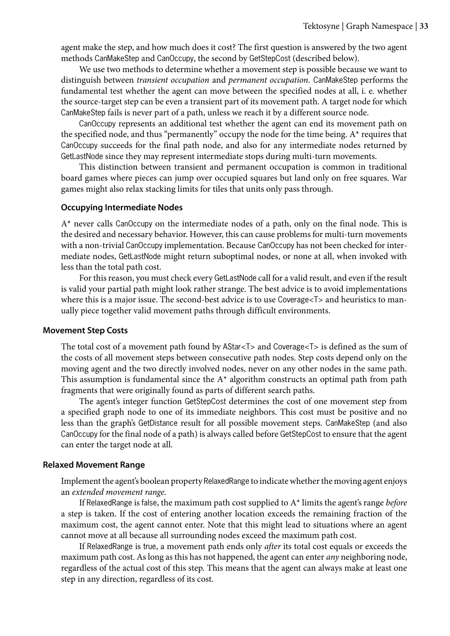agent make the step, and how much does it cost? The first question is answered by the two agent methods CanMakeStep and CanOccupy, the second by GetStepCost (described below).

We use two methods to determine whether a movement step is possible because we want to distinguish between *transient occupation* and *permanent occupation.* CanMakeStep performs the fundamental test whether the agent can move between the specified nodes at all, i. e. whether the source-target step can be even a transient part of its movement path. A target node for which CanMakeStep fails is never part of a path, unless we reach it by a different source node.

CanOccupy represents an additional test whether the agent can end its movement path on the specified node, and thus "permanently" occupy the node for the time being. A\* requires that CanOccupy succeeds for the final path node, and also for any intermediate nodes returned by GetLastNode since they may represent intermediate stops during multi-turn movements.

This distinction between transient and permanent occupation is common in traditional board games where pieces can jump over occupied squares but land only on free squares. War games might also relax stacking limits for tiles that units only pass through.

#### **Occupying Intermediate Nodes**

 $A^*$  never calls CanOccupy on the intermediate nodes of a path, only on the final node. This is the desired and necessary behavior. However, this can cause problems for multi-turn movements with a non-trivial CanOccupy implementation. Because CanOccupy has not been checked for intermediate nodes, GetLastNode might return suboptimal nodes, or none at all, when invoked with less than the total path cost.

For this reason, you must check every GetLastNode call for a valid result, and even if the result is valid your partial path might look rather strange. The best advice is to avoid implementations where this is a major issue. The second-best advice is to use Coverage<T> and heuristics to manually piece together valid movement paths through difficult environments.

#### <span id="page-32-0"></span>**Movement Step Costs**

The total cost of a movement path found by AStar<T> and Coverage<T> is defined as the sum of the costs of all movement steps between consecutive path nodes. Step costs depend only on the moving agent and the two directly involved nodes, never on any other nodes in the same path. This assumption is fundamental since the  $A^*$  algorithm constructs an optimal path from path fragments that were originally found as parts of different search paths.

The agent's integer function GetStepCost determines the cost of one movement step from a specified graph node to one of its immediate neighbors. This cost must be positive and no less than the graph's GetDistance result for all possible movement steps. CanMakeStep (and also CanOccupy for the final node of a path) is always called before GetStepCost to ensure that the agent can enter the target node at all.

#### <span id="page-32-1"></span>**Relaxed Movement Range**

Implement the agent's boolean property RelaxedRange to indicate whether the moving agent enjoys an *extended movement range.*

If RelaxedRange is false, the maximum path cost supplied to A\* limits the agent's range *before* a step is taken. If the cost of entering another location exceeds the remaining fraction of the maximum cost, the agent cannot enter. Note that this might lead to situations where an agent cannot move at all because all surrounding nodes exceed the maximum path cost.

If RelaxedRange is true, a movement path ends only *after* its total cost equals or exceeds the maximum path cost. As long as this has not happened, the agent can enter *any* neighboring node, regardless of the actual cost of this step. This means that the agent can always make at least one step in any direction, regardless of its cost.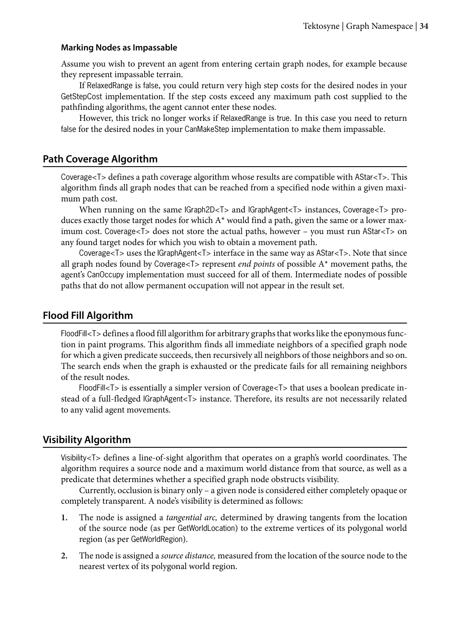#### **Marking Nodes as Impassable**

Assume you wish to prevent an agent from entering certain graph nodes, for example because they represent impassable terrain.

If RelaxedRange is false, you could return very high step costs for the desired nodes in your GetStepCost implementation. If the step costs exceed any maximum path cost supplied to the pathfinding algorithms, the agent cannot enter these nodes.

However, this trick no longer works if RelaxedRange is true. In this case you need to return false for the desired nodes in your CanMakeStep implementation to make them impassable.

#### <span id="page-33-0"></span>**Path Coverage Algorithm**

Coverage<T> defines a path coverage algorithm whose results are compatible with AStar<T>. This algorithm finds all graph nodes that can be reached from a specified node within a given maximum path cost.

When running on the same IGraph2D<T> and IGraphAgent<T> instances, Coverage<T> produces exactly those target nodes for which  $A^*$  would find a path, given the same or a lower maximum cost. Coverage<T> does not store the actual paths, however – you must run AStar<T> on any found target nodes for which you wish to obtain a movement path.

Coverage<T> uses the IGraphAgent<T> interface in the same way as AStar<T>. Note that since all graph nodes found by Coverage<T> represent *end points* of possible A\* movement paths, the agent's CanOccupy implementation must succeed for all of them. Intermediate nodes of possible paths that do not allow permanent occupation will not appear in the result set.

#### <span id="page-33-1"></span>**Flood Fill Algorithm**

FloodFill<T> defines a flood fill algorithm for arbitrary graphs that works like the eponymous function in paint programs. This algorithm finds all immediate neighbors of a specified graph node for which a given predicate succeeds, then recursively all neighbors of those neighbors and so on. The search ends when the graph is exhausted or the predicate fails for all remaining neighbors of the result nodes.

FloodFill<T> is essentially a simpler version of Coverage<T> that uses a boolean predicate instead of a full-fledged IGraphAgent<T> instance. Therefore, its results are not necessarily related to any valid agent movements.

#### <span id="page-33-2"></span>**Visibility Algorithm**

Visibility<T> defines a line-of-sight algorithm that operates on a graph's world coordinates. The algorithm requires a source node and a maximum world distance from that source, as well as a predicate that determines whether a specified graph node obstructs visibility.

Currently, occlusion is binary only – a given node is considered either completely opaque or completely transparent. A node's visibility is determined as follows:

- **1.** The node is assigned a *tangential arc,* determined by drawing tangents from the location of the source node (as per GetWorldLocation) to the extreme vertices of its polygonal world region (as per GetWorldRegion).
- **2.** The node is assigned a *source distance,* measured from the location of the source node to the nearest vertex of its polygonal world region.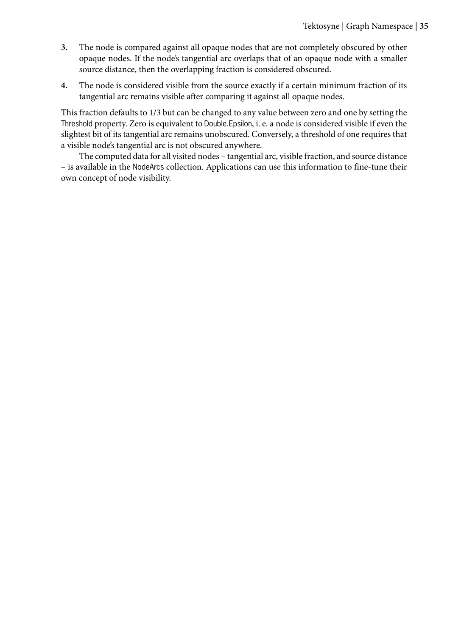- **3.** The node is compared against all opaque nodes that are not completely obscured by other opaque nodes. If the node's tangential arc overlaps that of an opaque node with a smaller source distance, then the overlapping fraction is considered obscured.
- **4.** The node is considered visible from the source exactly if a certain minimum fraction of its tangential arc remains visible after comparing it against all opaque nodes.

This fraction defaults to 1/3 but can be changed to any value between zero and one by setting the Threshold property. Zero is equivalent to Double.Epsilon, i. e. a node is considered visible if even the slightest bit of its tangential arc remains unobscured. Conversely, a threshold of one requires that a visible node's tangential arc is not obscured anywhere.

The computed data for all visited nodes – tangential arc, visible fraction, and source distance – is available in the NodeArcs collection. Applications can use this information to fine-tune their own concept of node visibility.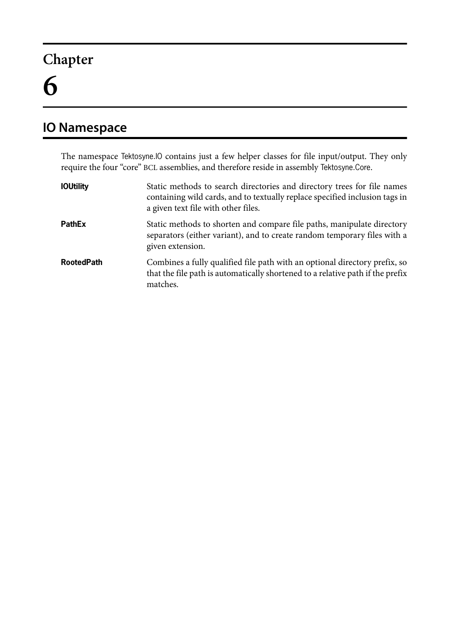# <span id="page-36-0"></span>**IO Namespace**

The namespace Tektosyne.IO contains just a few helper classes for file input/output. They only require the four "core" BCL assemblies, and therefore reside in assembly Tektosyne.Core.

| <b>IOUtility</b>  | Static methods to search directories and directory trees for file names<br>containing wild cards, and to textually replace specified inclusion tags in<br>a given text file with other files. |
|-------------------|-----------------------------------------------------------------------------------------------------------------------------------------------------------------------------------------------|
| <b>PathEx</b>     | Static methods to shorten and compare file paths, manipulate directory<br>separators (either variant), and to create random temporary files with a<br>given extension.                        |
| <b>RootedPath</b> | Combines a fully qualified file path with an optional directory prefix, so<br>that the file path is automatically shortened to a relative path if the prefix<br>matches.                      |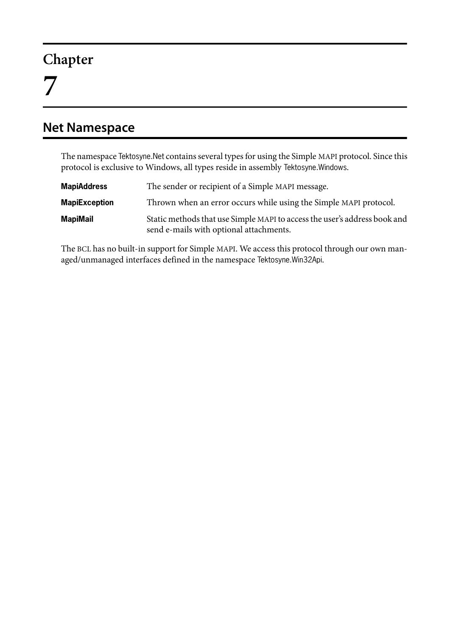# <span id="page-38-0"></span>**Net Namespace**

The namespace Tektosyne.Net contains several types for using the Simple MAPI protocol. Since this protocol is exclusive to Windows, all types reside in assembly Tektosyne.Windows.

| <b>MapiAddress</b>   | The sender or recipient of a Simple MAPI message.                                                                    |
|----------------------|----------------------------------------------------------------------------------------------------------------------|
| <b>MapiException</b> | Thrown when an error occurs while using the Simple MAPI protocol.                                                    |
| <b>MapiMail</b>      | Static methods that use Simple MAPI to access the user's address book and<br>send e-mails with optional attachments. |

The BCL has no built-in support for Simple MAPI. We access this protocol through our own managed/unmanaged interfaces defined in the namespace Tektosyne.Win32Api.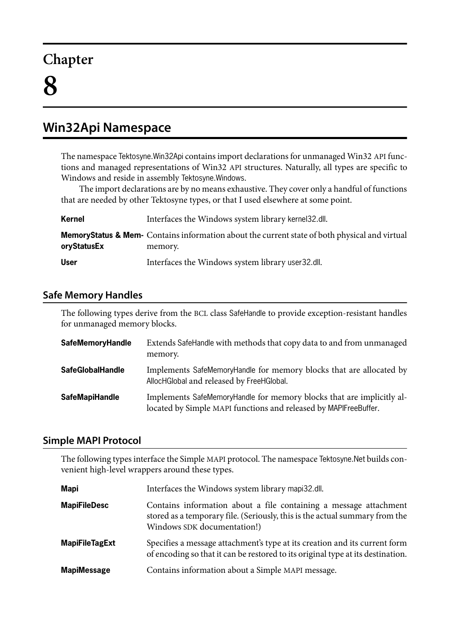# <span id="page-40-0"></span>**Win32Api Namespace**

The namespace Tektosyne.Win32Api contains import declarations for unmanaged Win32 API functions and managed representations of Win32 API structures. Naturally, all types are specific to Windows and reside in assembly Tektosyne.Windows.

The import declarations are by no means exhaustive. They cover only a handful of functions that are needed by other Tektosyne types, or that I used elsewhere at some point.

| Kernel      | Interfaces the Windows system library kernel 32.dll.                                                                |
|-------------|---------------------------------------------------------------------------------------------------------------------|
| oryStatusEx | <b>MemoryStatus &amp; Mem-</b> Contains information about the current state of both physical and virtual<br>memory. |
| <b>User</b> | Interfaces the Windows system library user 32.dll.                                                                  |

### <span id="page-40-1"></span>**Safe Memory Handles**

The following types derive from the BCL class SafeHandle to provide exception-resistant handles for unmanaged memory blocks.

| <b>SafeMemoryHandle</b> | Extends SafeHandle with methods that copy data to and from unmanaged<br>memory.                                                           |
|-------------------------|-------------------------------------------------------------------------------------------------------------------------------------------|
| <b>SafeGlobalHandle</b> | Implements SafeMemoryHandle for memory blocks that are allocated by<br>AllocHGlobal and released by FreeHGlobal.                          |
| <b>SafeMapiHandle</b>   | Implements SafeMemoryHandle for memory blocks that are implicitly al-<br>located by Simple MAPI functions and released by MAPIFreeBuffer. |

#### <span id="page-40-2"></span>**Simple MAPI Protocol**

The following types interface the Simple MAPI protocol. The namespace Tektosyne.Net builds convenient high-level wrappers around these types.

| <b>Mapi</b>           | Interfaces the Windows system library mapi32.dll.                                                                                                                               |
|-----------------------|---------------------------------------------------------------------------------------------------------------------------------------------------------------------------------|
| <b>MapiFileDesc</b>   | Contains information about a file containing a message attachment<br>stored as a temporary file. (Seriously, this is the actual summary from the<br>Windows SDK documentation!) |
| <b>MapiFileTagExt</b> | Specifies a message attachment's type at its creation and its current form<br>of encoding so that it can be restored to its original type at its destination.                   |
| <b>MapiMessage</b>    | Contains information about a Simple MAPI message.                                                                                                                               |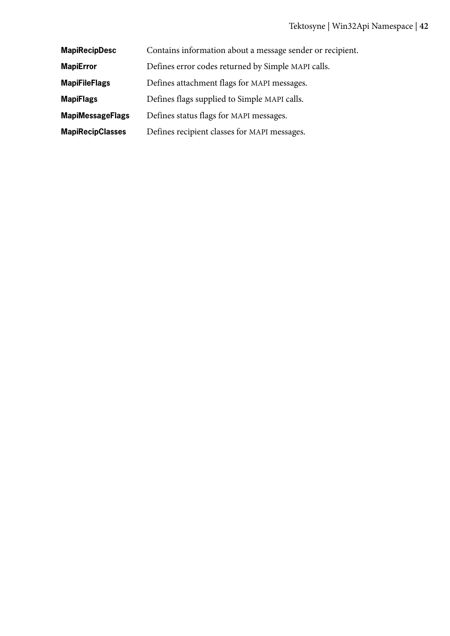**MapiRecipDesc** Contains information about a message sender or recipient.

**MapiError** Defines error codes returned by Simple MAPI calls.

**MapiFileFlags** Defines attachment flags for MAPI messages.

**MapiFlags** Defines flags supplied to Simple MAPI calls.

**MapiMessageFlags** Defines status flags for MAPI messages.

**MapiRecipClasses** Defines recipient classes for MAPI messages.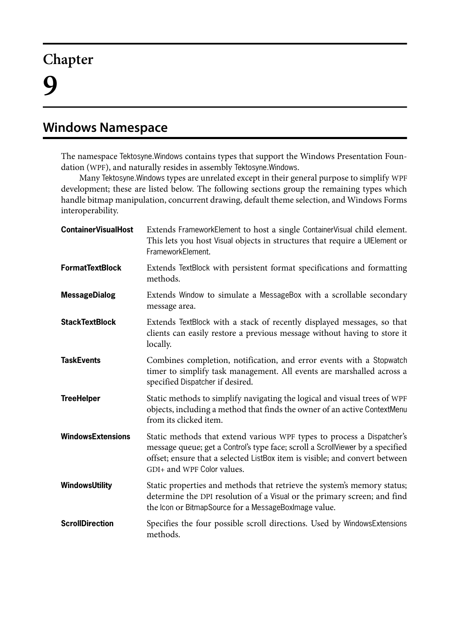# <span id="page-42-0"></span>**Windows Namespace**

The namespace Tektosyne.Windows contains types that support the Windows Presentation Foundation (WPF), and naturally resides in assembly Tektosyne.Windows.

Many Tektosyne.Windows types are unrelated except in their general purpose to simplify WPF development; these are listed below. The following sections group the remaining types which handle bitmap manipulation, concurrent drawing, default theme selection, and Windows Forms interoperability.

| <b>ContainerVisualHost</b> | Extends FrameworkElement to host a single ContainerVisual child element.<br>This lets you host Visual objects in structures that require a UIEIement or<br>FrameworkElement.                                                                                          |
|----------------------------|-----------------------------------------------------------------------------------------------------------------------------------------------------------------------------------------------------------------------------------------------------------------------|
| <b>FormatTextBlock</b>     | Extends TextBlock with persistent format specifications and formatting<br>methods.                                                                                                                                                                                    |
| <b>MessageDialog</b>       | Extends Window to simulate a MessageBox with a scrollable secondary<br>message area.                                                                                                                                                                                  |
| <b>StackTextBlock</b>      | Extends TextBlock with a stack of recently displayed messages, so that<br>clients can easily restore a previous message without having to store it<br>locally.                                                                                                        |
| <b>TaskEvents</b>          | Combines completion, notification, and error events with a Stopwatch<br>timer to simplify task management. All events are marshalled across a<br>specified Dispatcher if desired.                                                                                     |
| <b>TreeHelper</b>          | Static methods to simplify navigating the logical and visual trees of WPF<br>objects, including a method that finds the owner of an active ContextMenu<br>from its clicked item.                                                                                      |
| <b>WindowsExtensions</b>   | Static methods that extend various WPF types to process a Dispatcher's<br>message queue; get a Control's type face; scroll a ScrollViewer by a specified<br>offset; ensure that a selected ListBox item is visible; and convert between<br>GDI+ and WPF Color values. |
| WindowsUtility             | Static properties and methods that retrieve the system's memory status;<br>determine the DPI resolution of a Visual or the primary screen; and find<br>the Icon or BitmapSource for a MessageBoxImage value.                                                          |
| <b>ScrollDirection</b>     | Specifies the four possible scroll directions. Used by WindowsExtensions<br>methods.                                                                                                                                                                                  |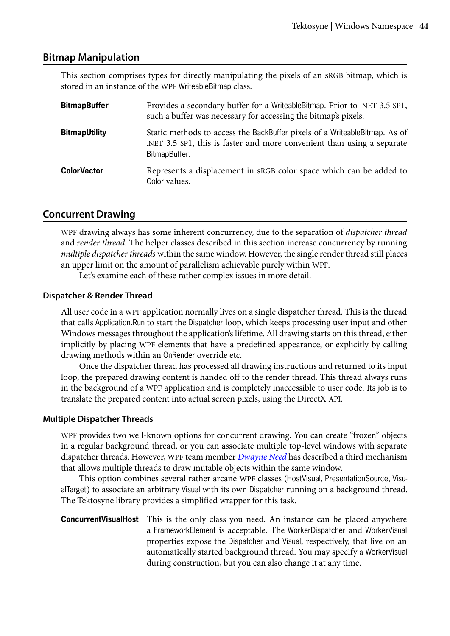#### <span id="page-43-0"></span>**Bitmap Manipulation**

This section comprises types for directly manipulating the pixels of an sRGB bitmap, which is stored in an instance of the WPF WriteableBitmap class.

| <b>BitmapBuffer</b>  | Provides a secondary buffer for a Writeable Bitmap. Prior to .NET 3.5 SP1,<br>such a buffer was necessary for accessing the bitmap's pixels.                          |
|----------------------|-----------------------------------------------------------------------------------------------------------------------------------------------------------------------|
| <b>BitmapUtility</b> | Static methods to access the BackBuffer pixels of a WriteableBitmap. As of<br>.NET 3.5 SP1, this is faster and more convenient than using a separate<br>BitmapBuffer. |
| <b>ColorVector</b>   | Represents a displacement in sRGB color space which can be added to<br>Color values.                                                                                  |

#### <span id="page-43-1"></span>**Concurrent Drawing**

WPF drawing always has some inherent concurrency, due to the separation of *dispatcher thread* and *render thread.* The helper classes described in this section increase concurrency by running *multiple dispatcher threads* within the same window. However, the single render thread still places an upper limit on the amount of parallelism achievable purely within WPF.

Let's examine each of these rather complex issues in more detail.

#### <span id="page-43-2"></span>**Dispatcher & Render Thread**

All user code in a WPF application normally lives on a single dispatcher thread. This is the thread that calls Application.Run to start the Dispatcher loop, which keeps processing user input and other Windows messages throughout the application's lifetime. All drawing starts on this thread, either implicitly by placing WPF elements that have a predefined appearance, or explicitly by calling drawing methods within an OnRender override etc.

Once the dispatcher thread has processed all drawing instructions and returned to its input loop, the prepared drawing content is handed off to the render thread. This thread always runs in the background of a WPF application and is completely inaccessible to user code. Its job is to translate the prepared content into actual screen pixels, using the DirectX API.

#### <span id="page-43-3"></span>**Multiple Dispatcher Threads**

WPF provides two well-known options for concurrent drawing. You can create "frozen" objects in a regular background thread, or you can associate multiple top-level windows with separate dispatcher threads. However, WPF team member *[Dwayne Need](http://blogs.msdn.com/b/dwayneneed/archive/2007/04/26/multithreaded-ui-hostvisual.aspx)* has described a third mechanism that allows multiple threads to draw mutable objects within the same window.

This option combines several rather arcane WPF classes (HostVisual, PresentationSource, VisualTarget) to associate an arbitrary Visual with its own Dispatcher running on a background thread. The Tektosyne library provides a simplified wrapper for this task.

**ConcurrentVisualHost** This is the only class you need. An instance can be placed anywhere a FrameworkElement is acceptable. The WorkerDispatcher and WorkerVisual properties expose the Dispatcher and Visual, respectively, that live on an automatically started background thread. You may specify a WorkerVisual during construction, but you can also change it at any time.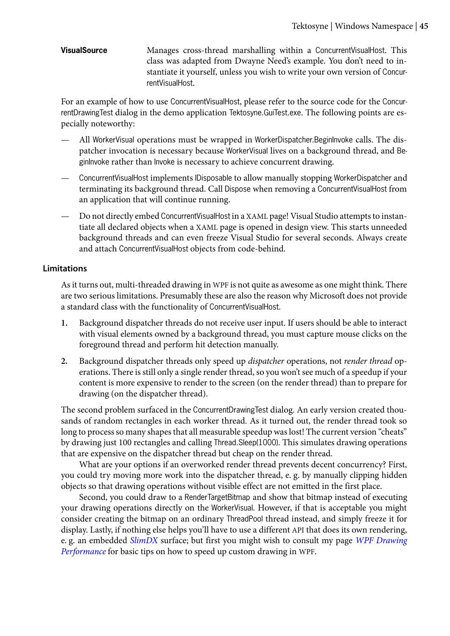**VisualSource** Manages cross-thread marshalling within a ConcurrentVisualHost. This class was adapted from Dwayne Need's example. You don't need to instantiate it yourself, unless you wish to write your own version of ConcurrentVisualHost.

For an example of how to use ConcurrentVisualHost, please refer to the source code for the ConcurrentDrawingTest dialog in the demo application Tektosyne.GuiTest.exe. The following points are especially noteworthy:

- All WorkerVisual operations must be wrapped in WorkerDispatcher. BeginInvoke calls. The dispatcher invocation is necessary because WorkerVisual lives on a background thread, and BeginInvoke rather than Invoke is necessary to achieve concurrent drawing.
- ConcurrentVisualHost implements IDisposable to allow manually stopping WorkerDispatcher and terminating its background thread. Call Dispose when removing a ConcurrentVisualHost from an application that will continue running.
- Do not directly embed ConcurrentVisualHost in a XAML page! Visual Studio attempts to instantiate all declared objects when a XAML page is opened in design view. This starts unneeded background threads and can even freeze Visual Studio for several seconds. Always create and attach ConcurrentVisualHost objects from code-behind.

#### <span id="page-44-0"></span>**Limitations**

As it turns out, multi-threaded drawing in WPF is not quite as awesome as one might think. There are two serious limitations. Presumably these are also the reason why Microsoft does not provide a standard class with the functionality of ConcurrentVisualHost.

- **1.** Background dispatcher threads do not receive user input. If users should be able to interact with visual elements owned by a background thread, you must capture mouse clicks on the foreground thread and perform hit detection manually.
- **2.** Background dispatcher threads only speed up *dispatcher* operations, not *render thread* operations. There is still only a single render thread, so you won't see much of a speedup if your content is more expensive to render to the screen (on the render thread) than to prepare for drawing (on the dispatcher thread).

The second problem surfaced in the ConcurrentDrawingTest dialog. An early version created thousands of random rectangles in each worker thread. As it turned out, the render thread took so long to process so many shapes that all measurable speedup was lost! The current version "cheats" by drawing just 100 rectangles and calling Thread.Sleep(1000). This simulates drawing operations that are expensive on the dispatcher thread but cheap on the render thread.

What are your options if an overworked render thread prevents decent concurrency? First, you could try moving more work into the dispatcher thread, e. g. by manually clipping hidden objects so that drawing operations without visible effect are not emitted in the first place.

Second, you could draw to a RenderTargetBitmap and show that bitmap instead of executing your drawing operations directly on the WorkerVisual. However, if that is acceptable you might consider creating the bitmap on an ordinary ThreadPool thread instead, and simply freeze it for display. Lastly, if nothing else helps you'll have to use a different API that does its own rendering, e. g. an embedded *[SlimDX](http://slimdx.org/)* surface; but first you might wish to consult my page *[WPF Drawing](http://www.kynosarges.org/WpfPerformance.html) [Performance](http://www.kynosarges.org/WpfPerformance.html)* for basic tips on how to speed up custom drawing in WPF.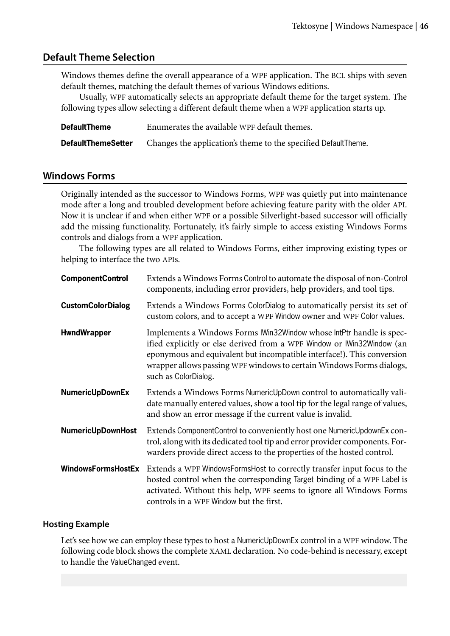#### <span id="page-45-0"></span>**Default Theme Selection**

Windows themes define the overall appearance of a WPF application. The BCL ships with seven default themes, matching the default themes of various Windows editions.

Usually, WPF automatically selects an appropriate default theme for the target system. The following types allow selecting a different default theme when a WPF application starts up.

| <b>DefaultTheme</b>       | Enumerates the available WPF default themes.                   |
|---------------------------|----------------------------------------------------------------|
| <b>DefaultThemeSetter</b> | Changes the application's theme to the specified DefaultTheme. |

#### <span id="page-45-1"></span>**Windows Forms**

Originally intended as the successor to Windows Forms, WPF was quietly put into maintenance mode after a long and troubled development before achieving feature parity with the older API. Now it is unclear if and when either WPF or a possible Silverlight-based successor will officially add the missing functionality. Fortunately, it's fairly simple to access existing Windows Forms controls and dialogs from a WPF application.

The following types are all related to Windows Forms, either improving existing types or helping to interface the two APIs.

| <b>ComponentControl</b>  | Extends a Windows Forms Control to automate the disposal of non-Control<br>components, including error providers, help providers, and tool tips.                                                                                                                                                                         |
|--------------------------|--------------------------------------------------------------------------------------------------------------------------------------------------------------------------------------------------------------------------------------------------------------------------------------------------------------------------|
| <b>CustomColorDialog</b> | Extends a Windows Forms ColorDialog to automatically persist its set of<br>custom colors, and to accept a WPF Window owner and WPF Color values.                                                                                                                                                                         |
| <b>HwndWrapper</b>       | Implements a Windows Forms IWin32Window whose IntPtr handle is spec-<br>ified explicitly or else derived from a WPF Window or IWin32Window (an<br>eponymous and equivalent but incompatible interface!). This conversion<br>wrapper allows passing WPF windows to certain Windows Forms dialogs,<br>such as ColorDialog. |
| <b>NumericUpDownEx</b>   | Extends a Windows Forms NumericUpDown control to automatically vali-<br>date manually entered values, show a tool tip for the legal range of values,<br>and show an error message if the current value is invalid.                                                                                                       |
| <b>NumericUpDownHost</b> | Extends ComponentControl to conveniently host one NumericUpdownEx con-<br>trol, along with its dedicated tool tip and error provider components. For-<br>warders provide direct access to the properties of the hosted control.                                                                                          |
| WindowsFormsHostEx       | Extends a WPF WindowsFormsHost to correctly transfer input focus to the<br>hosted control when the corresponding Target binding of a WPF Label is<br>activated. Without this help, WPF seems to ignore all Windows Forms<br>controls in a WPF Window but the first.                                                      |

#### <span id="page-45-2"></span>**Hosting Example**

Let's see how we can employ these types to host a NumericUpDownEx control in a WPF window. The following code block shows the complete XAML declaration. No code-behind is necessary, except to handle the ValueChanged event.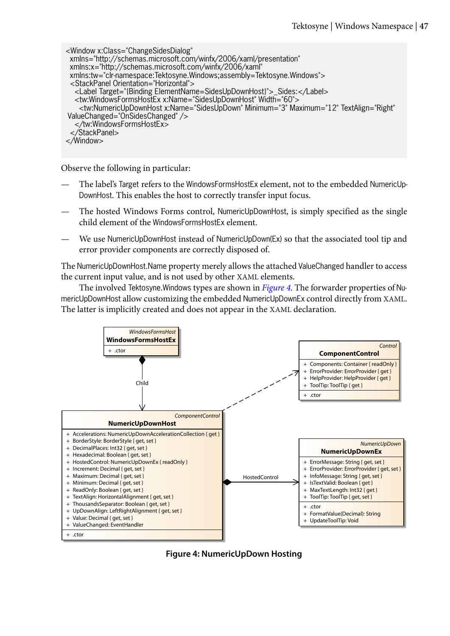<Window x:Class="ChangeSidesDialog" xmlns="http://schemas.microsoft.com/winfx/2006/xaml/presentation" xmlns:x="http://schemas.microsoft.com/winfx/2006/xaml" xmlns:tw="clr-namespace:Tektosyne.Windows;assembly=Tektosyne.Windows"> <StackPanel Orientation="Horizontal"> <Label Target="{Binding ElementName=SidesUpDownHost}">\_Sides:</Label> <tw:WindowsFormsHostEx x:Name="SidesUpDownHost" Width="60"> <tw:NumericUpDownHost x:Name="SidesUpDown" Minimum="3" Maximum="12" TextAlign="Right" ValueChanged="OnSidesChanged" /> </tw:WindowsFormsHostEx> </StackPanel> </Window>

Observe the following in particular:

- The label's Target refers to the WindowsFormsHostEx element, not to the embedded NumericUp-DownHost. This enables the host to correctly transfer input focus.
- The hosted Windows Forms control, NumericUpDownHost, is simply specified as the single child element of the WindowsFormsHostEx element.
- We use NumericUpDownHost instead of NumericUpDown(Ex) so that the associated tool tip and error provider components are correctly disposed of.

The NumericUpDownHost.Name property merely allows the attached ValueChanged handler to access the current input value, and is not used by other XAML elements.

The involved Tektosyne.Windows types are shown in *Figure 4*. The forwarder properties of NumericUpDownHost allow customizing the embedded NumericUpDownEx control directly from XAML. The latter is implicitly created and does not appear in the XAML declaration.

<span id="page-46-0"></span>

**Figure 4: NumericUpDown Hosting**